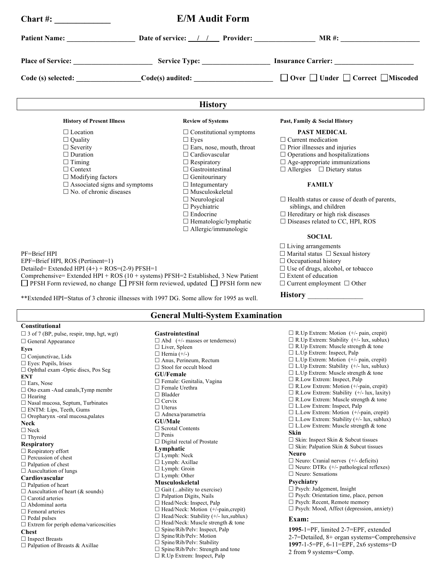| $Chart #:$                                                                                                                                                                                                                                                                                                                                                                                                                                                                                                                                                                                                                                                 |                                                                                                                                                                                                                                                                                                                                                                                                                                                                                                                                                  |                                                                                                                                                                                                                                                                                                                                                                                                                                                                                                                                                                                                                                                                                                                                                                                                                                                                                                                                                                              |
|------------------------------------------------------------------------------------------------------------------------------------------------------------------------------------------------------------------------------------------------------------------------------------------------------------------------------------------------------------------------------------------------------------------------------------------------------------------------------------------------------------------------------------------------------------------------------------------------------------------------------------------------------------|--------------------------------------------------------------------------------------------------------------------------------------------------------------------------------------------------------------------------------------------------------------------------------------------------------------------------------------------------------------------------------------------------------------------------------------------------------------------------------------------------------------------------------------------------|------------------------------------------------------------------------------------------------------------------------------------------------------------------------------------------------------------------------------------------------------------------------------------------------------------------------------------------------------------------------------------------------------------------------------------------------------------------------------------------------------------------------------------------------------------------------------------------------------------------------------------------------------------------------------------------------------------------------------------------------------------------------------------------------------------------------------------------------------------------------------------------------------------------------------------------------------------------------------|
|                                                                                                                                                                                                                                                                                                                                                                                                                                                                                                                                                                                                                                                            |                                                                                                                                                                                                                                                                                                                                                                                                                                                                                                                                                  | Date of service: $\angle$ / $\angle$ Provider: MR#:                                                                                                                                                                                                                                                                                                                                                                                                                                                                                                                                                                                                                                                                                                                                                                                                                                                                                                                          |
|                                                                                                                                                                                                                                                                                                                                                                                                                                                                                                                                                                                                                                                            |                                                                                                                                                                                                                                                                                                                                                                                                                                                                                                                                                  |                                                                                                                                                                                                                                                                                                                                                                                                                                                                                                                                                                                                                                                                                                                                                                                                                                                                                                                                                                              |
|                                                                                                                                                                                                                                                                                                                                                                                                                                                                                                                                                                                                                                                            |                                                                                                                                                                                                                                                                                                                                                                                                                                                                                                                                                  |                                                                                                                                                                                                                                                                                                                                                                                                                                                                                                                                                                                                                                                                                                                                                                                                                                                                                                                                                                              |
|                                                                                                                                                                                                                                                                                                                                                                                                                                                                                                                                                                                                                                                            | <b>History</b>                                                                                                                                                                                                                                                                                                                                                                                                                                                                                                                                   |                                                                                                                                                                                                                                                                                                                                                                                                                                                                                                                                                                                                                                                                                                                                                                                                                                                                                                                                                                              |
| <b>History of Present Illness</b>                                                                                                                                                                                                                                                                                                                                                                                                                                                                                                                                                                                                                          | <b>Review of Systems</b>                                                                                                                                                                                                                                                                                                                                                                                                                                                                                                                         | Past, Family & Social History                                                                                                                                                                                                                                                                                                                                                                                                                                                                                                                                                                                                                                                                                                                                                                                                                                                                                                                                                |
| $\Box$ Location<br>$\Box$ Quality<br>$\Box$ Severity<br>$\Box$ Duration<br>$\Box$ Timing<br>$\Box$ Context<br>$\Box$ Modifying factors<br>$\Box$ Associated signs and symptoms<br>$\square$ No. of chronic diseases                                                                                                                                                                                                                                                                                                                                                                                                                                        | $\Box$ Constitutional symptoms<br>$\Box$ Eyes<br>$\Box$ Ears, nose, mouth, throat<br>$\Box$ Cardiovascular<br>$\Box$ Respiratory<br>$\Box$ Gastrointestinal<br>$\Box$ Genitourinary<br>$\Box$ Integumentary<br>$\Box$ Musculoskeletal<br>$\Box$ Neurological<br>$\Box$ Psychiatric<br>$\Box$ Endocrine<br>$\Box$ Hematologic/lymphatic<br>$\Box$ Allergic/immunologic                                                                                                                                                                            | PAST MEDICAL<br>$\Box$ Current medication<br>$\Box$ Prior illnesses and injuries<br>$\Box$ Operations and hospitalizations<br>$\Box$ Age-appropriate immunizations<br>$\Box$ Allergies $\Box$ Dietary status<br><b>FAMILY</b><br>$\Box$ Health status or cause of death of parents,<br>siblings, and children<br>$\Box$ Hereditary or high risk diseases<br>$\square$ Diseases related to CC, HPI, ROS<br><b>SOCIAL</b>                                                                                                                                                                                                                                                                                                                                                                                                                                                                                                                                                      |
| PF=Brief HPI<br>EPF=Brief HPI, ROS (Pertinent=1)<br>Detailed= Extended HPI $(4+)$ + ROS= $(2-9)$ PFSH=1<br>Comprehensive= Extended HPI + ROS (10 + systems) PFSH=2 Established, 3 New Patient<br>$\Box$ PFSH Form reviewed, no change $\Box$ PFSH form reviewed, updated $\Box$ PFSH form new<br>**Extended HPI=Status of 3 chronic illnesses with 1997 DG. Some allow for 1995 as well.                                                                                                                                                                                                                                                                   |                                                                                                                                                                                                                                                                                                                                                                                                                                                                                                                                                  | $\Box$ Living arrangements<br>$\Box$ Marital status $\Box$ Sexual history<br>$\Box$ Occupational history<br>$\Box$ Use of drugs, alcohol, or tobacco<br>$\Box$ Extent of education<br>$\Box$ Current employment $\Box$ Other                                                                                                                                                                                                                                                                                                                                                                                                                                                                                                                                                                                                                                                                                                                                                 |
|                                                                                                                                                                                                                                                                                                                                                                                                                                                                                                                                                                                                                                                            | <b>General Multi-System Examination</b>                                                                                                                                                                                                                                                                                                                                                                                                                                                                                                          |                                                                                                                                                                                                                                                                                                                                                                                                                                                                                                                                                                                                                                                                                                                                                                                                                                                                                                                                                                              |
| <b>Constitutional</b><br>$\Box$ 3 of 7 (BP, pulse, respir, tmp, hgt, wgt)<br>$\Box$ General Appearance<br>Eyes<br>$\Box$ Conjunctivae, Lids<br>$\Box$ Eves: Pupils, Irises<br>□ Ophthal exam -Optic discs, Pos Seg<br><b>ENT</b><br>$\Box$ Ears, Nose<br>$\Box$ Oto exam -Aud canals, Tymp membr<br>$\Box$ Hearing<br>$\Box$ Nasal mucosa, Septum, Turbinates<br>$\Box$ ENTM: Lips, Teeth, Gums<br>$\Box$ Oropharynx -oral mucosa, palates<br><b>Neck</b><br>$\Box$ Neck<br>$\Box$ Thyroid<br><b>Respiratory</b><br>$\Box$ Respiratory effort<br>$\Box$ Percussion of chest<br>$\Box$ Palpation of chest<br>$\Box$ Auscultation of lungs<br>Cardiovascular | Gastrointestinal<br>$\Box$ Abd (+/- masses or tenderness)<br>$\Box$ Liver, Spleen<br>$\Box$ Hernia (+/-)<br>$\Box$ Anus, Perineum, Rectum<br>$\Box$ Stool for occult blood<br>GU/Female<br>$\Box$ Female: Genitalia, Vagina<br>$\Box$ Female Urethra<br>$\Box$ Bladder<br>$\Box$ Cervix<br>$\Box$ Uterus<br>$\Box$ Adnexa/parametria<br><b>GU/Male</b><br>$\Box$ Scrotal Contents<br>$\Box$ Penis<br>$\Box$ Digital rectal of Prostate<br>Lymphatic<br>$\Box$ Lymph: Neck<br>$\Box$ Lymph: Axillae<br>$\Box$ Lymph: Groin<br>$\Box$ Lymph: Other | $\Box$ R.Up Extrem: Motion (+/- pain, crepit)<br>$\Box$ R.Up Extrem: Stability (+/- lux, sublux)<br>$\Box$ R.Up Extrem: Muscle strength & tone<br>$\Box$ L.Up Extrem: Inspect, Palp<br>$\Box$ L.Up Extrem: Motion (+/- pain, crepit)<br>$\Box$ L.Up Extrem: Stability (+/- lux, sublux)<br>$\Box$ L.Up Extrem: Muscle strength & tone<br>$\Box$ R.Low Extrem: Inspect, Palp<br>$\Box$ R.Low Extrem: Motion (+/-pain, crepit)<br>$\Box$ R.Low Extrem: Stability (+/- lux, laxity)<br>$\Box$ R.Low Extrem: Muscle strength & tone<br>$\Box$ L.Low Extrem: Inspect, Palp<br>$\Box$ L.Low Extrem: Motion (+/-pain, crepit)<br>$\Box$ L.Low Extrem: Stability (+/- lux, sublux)<br>$\Box$ L.Low Extrem: Muscle strength & tone<br>Skin<br>$\Box$ Skin: Inspect Skin & Subcut tissues<br>$\Box$ Skin: Palpation Skin & Subcut tissues<br><b>Neuro</b><br>$\Box$ Neuro: Cranial nerves (+/- deficits)<br>$\Box$ Neuro: DTRs (+/- pathological reflexes)<br>$\Box$ Neuro: Sensations |
| $\Box$ Palpation of heart<br>$\Box$ Auscultation of heart (& sounds)<br>$\Box$ Carotid arteries<br>$\Box$ Abdominal aorta<br>$\Box$ Femoral arteries<br>$\Box$ Pedal pulses<br>$\Box$ Extrem for periph edema/varicoscities<br><b>Chest</b><br>$\Box$ Inspect Breasts<br>$\Box$ Palpation of Breasts & Axillae                                                                                                                                                                                                                                                                                                                                             | Musculoskeletal<br>$\Box$ Gait (ability to exercise)<br>$\Box$ Palpation Digits, Nails<br>$\Box$ Head/Neck: Inspect, Palp<br>$\Box$ Head/Neck: Motion (+/-pain, crepit)<br>$\Box$ Head/Neck: Stability (+/- lux, sublux)<br>$\Box$ Head/Neck: Muscle strength & tone<br>$\Box$ Spine/Rib/Pelv: Inspect, Palp<br>$\Box$ Spine/Rib/Pelv: Motion<br>$\Box$ Spine/Rib/Pelv: Stability<br>$\Box$ Spine/Rib/Pelv: Strength and tone<br>$\Box$ R.Up Extrem: Inspect, Palp                                                                               | Psychiatry<br>$\Box$ Psych: Judgement, Insight<br>□ Psych: Orientation time, place, person<br>$\Box$ Psych: Recent, Remote memory<br>$\Box$ Psych: Mood, Affect (depression, anxiety)<br>Exam:<br>1995-1=PF, limited 2-7=EPF, extended<br>2-7=Detailed, 8+ organ systems=Comprehensive<br>1997-1-5=PF, 6-11=EPF, 2x6 systems=D<br>2 from 9 systems=Comp.                                                                                                                                                                                                                                                                                                                                                                                                                                                                                                                                                                                                                     |